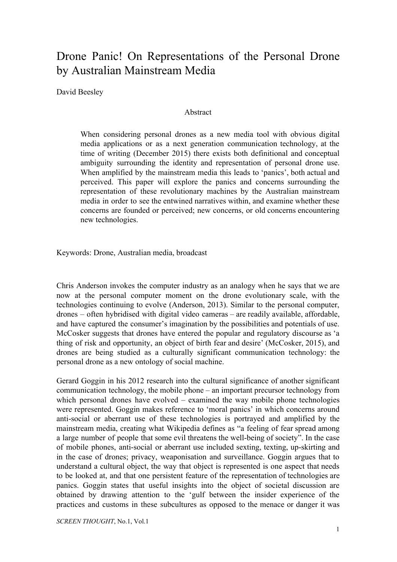# Drone Panic! On Representations of the Personal Drone by Australian Mainstream Media

David Beesley

#### Abstract

When considering personal drones as a new media tool with obvious digital media applications or as a next generation communication technology, at the time of writing (December 2015) there exists both definitional and conceptual ambiguity surrounding the identity and representation of personal drone use. When amplified by the mainstream media this leads to 'panics', both actual and perceived. This paper will explore the panics and concerns surrounding the representation of these revolutionary machines by the Australian mainstream media in order to see the entwined narratives within, and examine whether these concerns are founded or perceived; new concerns, or old concerns encountering new technologies.

Keywords: Drone, Australian media, broadcast

Chris Anderson invokes the computer industry as an analogy when he says that we are now at the personal computer moment on the drone evolutionary scale, with the technologies continuing to evolve (Anderson, 2013). Similar to the personal computer, drones – often hybridised with digital video cameras – are readily available, affordable, and have captured the consumer's imagination by the possibilities and potentials of use. McCosker suggests that drones have entered the popular and regulatory discourse as 'a thing of risk and opportunity, an object of birth fear and desire' (McCosker, 2015), and drones are being studied as a culturally significant communication technology: the personal drone as a new ontology of social machine.

Gerard Goggin in his 2012 research into the cultural significance of another significant communication technology, the mobile phone – an important precursor technology from which personal drones have evolved – examined the way mobile phone technologies were represented. Goggin makes reference to 'moral panics' in which concerns around antisocial or aberrant use of these technologies is portrayed and amplified by the mainstream media, creating what Wikipedia defines as "a feeling of fear spread among a large number of people that some evil threatens the well-being of society". In the case of mobile phones, anti-social or aberrant use included sexting, texting, up-skirting and in the case of drones; privacy, weaponisation and surveillance. Goggin argues that to understand a cultural object, the way that object is represented is one aspect that needs to be looked at, and that one persistent feature of the representation of technologies are panics. Goggin states that useful insights into the object of societal discussion are obtained by drawing attention to the 'gulf between the insider experience of the practices and customs in these subcultures as opposed to the menace or danger it was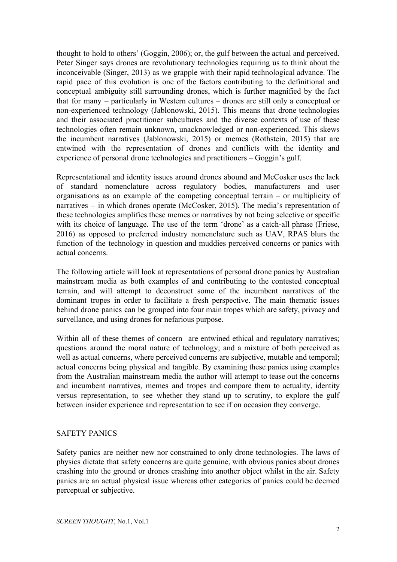thought to hold to others' (Goggin, 2006); or, the gulf between the actual and perceived. Peter Singer says drones are revolutionary technologies requiring us to think about the inconceivable (Singer, 2013) as we grapple with their rapid technological advance. The rapid pace of this evolution is one of the factors contributing to the definitional and conceptual ambiguity still surrounding drones, which is further magnified by the fact that for many – particularly in Western cultures – drones are still only a conceptual or non-experienced technology (Jablonowski, 2015). This means that drone technologies and their associated practitioner subcultures and the diverse contexts of use of these technologies often remain unknown, unacknowledged or non-experienced. This skews the incumbent narratives (Jablonowski, 2015) or memes (Rothstein, 2015) that are entwined with the representation of drones and conflicts with the identity and experience of personal drone technologies and practitioners – Goggin's gulf.

Representational and identity issues around drones abound and McCosker uses the lack of standard nomenclature across regulatory bodies, manufacturers and user organisations as an example of the competing conceptual terrain – or multiplicity of narratives – in which drones operate (McCosker, 2015). The media's representation of these technologies amplifies these memes or narratives by not being selective or specific with its choice of language. The use of the term 'drone' as a catch-all phrase (Friese, 2016) as opposed to preferred industry nomenclature such as UAV, RPAS blurs the function of the technology in question and muddies perceived concerns or panics with actual concerns.

The following article will look at representations of personal drone panics by Australian mainstream media as both examples of and contributing to the contested conceptual terrain, and will attempt to deconstruct some of the incumbent narratives of the dominant tropes in order to facilitate a fresh perspective. The main thematic issues behind drone panics can be grouped into four main tropes which are safety, privacy and survellance, and using drones for nefarious purpose.

Within all of these themes of concern are entwined ethical and regulatory narratives; questions around the moral nature of technology; and a mixture of both perceived as well as actual concerns, where perceived concerns are subjective, mutable and temporal; actual concerns being physical and tangible. By examining these panics using examples from the Australian mainstream media the author will attempt to tease out the concerns and incumbent narratives, memes and tropes and compare them to actuality, identity versus representation, to see whether they stand up to scrutiny, to explore the gulf between insider experience and representation to see if on occasion they converge.

### SAFETY PANICS

Safety panics are neither new nor constrained to only drone technologies. The laws of physics dictate that safety concerns are quite genuine, with obvious panics about drones crashing into the ground or drones crashing into another object whilst in the air. Safety panics are an actual physical issue whereas other categories of panics could be deemed perceptual or subjective.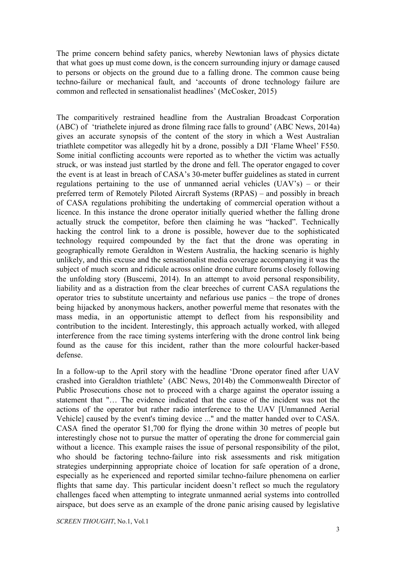The prime concern behind safety panics, whereby Newtonian laws of physics dictate that what goes up must come down, is the concern surrounding injury or damage caused to persons or objects on the ground due to a falling drone. The common cause being techno-failure or mechanical fault, and 'accounts of drone technology failure are common and reflected in sensationalist headlines' (McCosker, 2015)

The comparitively restrained headline from the Australian Broadcast Corporation (ABC) of 'triathelete injured as drone filming race falls to ground' (ABC News, 2014a) gives an accurate synopsis of the content of the story in which a West Australian triathlete competitor was allegedly hit by a drone, possibly a DJI 'Flame Wheel' F550. Some initial conflicting accounts were reported as to whether the victim was actually struck, or was instead just startled by the drone and fell. The operator engaged to cover the event is at least in breach of CASA's 30-meter buffer guidelines as stated in current regulations pertaining to the use of unmanned aerial vehicles (UAV's) – or their preferred term of Remotely Piloted Aircraft Systems (RPAS) – and possibly in breach of CASA regulations prohibiting the undertaking of commercial operation without a licence. In this instance the drone operator initially queried whether the falling drone actually struck the competitor, before then claiming he was "hacked". Technically hacking the control link to a drone is possible, however due to the sophisticated technology required compounded by the fact that the drone was operating in geographically remote Geraldton in Western Australia, the hacking scenario is highly unlikely, and this excuse and the sensationalist media coverage accompanying it was the subject of much scorn and ridicule across online drone culture forums closely following the unfolding story (Buscemi, 2014). In an attempt to avoid personal responsibility, liability and as a distraction from the clear breeches of current CASA regulations the operator tries to substitute uncertainty and nefarious use panics – the trope of drones being hijacked by anonymous hackers, another powerful meme that resonates with the mass media, in an opportunistic attempt to deflect from his responsibility and contribution to the incident. Interestingly, this approach actually worked, with alleged interference from the race timing systems interfering with the drone control link being found as the cause for this incident, rather than the more colourful hacker-based defense.

In a follow-up to the April story with the headline 'Drone operator fined after UAV crashed into Geraldton triathlete' (ABC News, 2014b) the Commonwealth Director of Public Prosecutions chose not to proceed with a charge against the operator issuing a statement that "… The evidence indicated that the cause of the incident was not the actions of the operator but rather radio interference to the UAV [Unmanned Aerial Vehicle] caused by the event's timing device ..." and the matter handed over to CASA. CASA fined the operator \$1,700 for flying the drone within 30 metres of people but interestingly chose not to pursue the matter of operating the drone for commercial gain without a licence. This example raises the issue of personal responsibility of the pilot, who should be factoring techno-failure into risk assessments and risk mitigation strategies underpinning appropriate choice of location for safe operation of a drone, especially as he experienced and reported similar techno-failure phenomena on earlier flights that same day. This particular incident doesn't reflect so much the regulatory challenges faced when attempting to integrate unmanned aerial systems into controlled airspace, but does serve as an example of the drone panic arising caused by legislative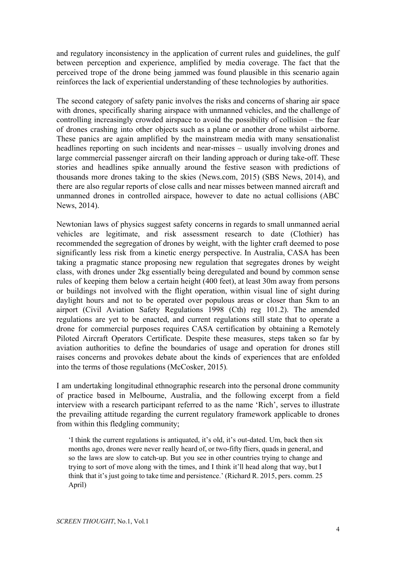and regulatory inconsistency in the application of current rules and guidelines, the gulf between perception and experience, amplified by media coverage. The fact that the perceived trope of the drone being jammed was found plausible in this scenario again reinforces the lack of experiential understanding of these technologies by authorities.

The second category of safety panic involves the risks and concerns of sharing air space with drones, specifically sharing airspace with unmanned vehicles, and the challenge of controlling increasingly crowded airspace to avoid the possibility of collision – the fear of drones crashing into other objects such as a plane or another drone whilst airborne. These panics are again amplified by the mainstream media with many sensationalist headlines reporting on such incidents and near-misses – usually involving drones and large commercial passenger aircraft on their landing approach or during take-off. These stories and headlines spike annually around the festive season with predictions of thousands more drones taking to the skies (News.com, 2015) (SBS News, 2014), and there are also regular reports of close calls and near misses between manned aircraft and unmanned drones in controlled airspace, however to date no actual collisions (ABC News, 2014).

Newtonian laws of physics suggest safety concerns in regards to small unmanned aerial vehicles are legitimate, and risk assessment research to date (Clothier) has recommended the segregation of drones by weight, with the lighter craft deemed to pose significantly less risk from a kinetic energy perspective. In Australia, CASA has been taking a pragmatic stance proposing new regulation that segregates drones by weight class, with drones under 2kg essentially being deregulated and bound by common sense rules of keeping them below a certain height (400 feet), at least 30m away from persons or buildings not involved with the flight operation, within visual line of sight during daylight hours and not to be operated over populous areas or closer than 5km to an airport (Civil Aviation Safety Regulations 1998 (Cth) reg 101.2). The amended regulations are yet to be enacted, and current regulations still state that to operate a drone for commercial purposes requires CASA certification by obtaining a Remotely Piloted Aircraft Operators Certificate. Despite these measures, steps taken so far by aviation authorities to define the boundaries of usage and operation for drones still raises concerns and provokes debate about the kinds of experiences that are enfolded into the terms of those regulations (McCosker, 2015)*.*

I am undertaking longitudinal ethnographic research into the personal drone community of practice based in Melbourne, Australia, and the following excerpt from a field interview with a research participant referred to as the name 'Rich', serves to illustrate the prevailing attitude regarding the current regulatory framework applicable to drones from within this fledgling community;

'I think the current regulations is antiquated, it's old, it's out-dated. Um, back then six months ago, drones were never really heard of, or two-fifty fliers, quads in general, and so the laws are slow to catch-up. But you see in other countries trying to change and trying to sort of move along with the times, and I think it'll head along that way, but I think that it's just going to take time and persistence.' (Richard R. 2015, pers. comm. 25 April)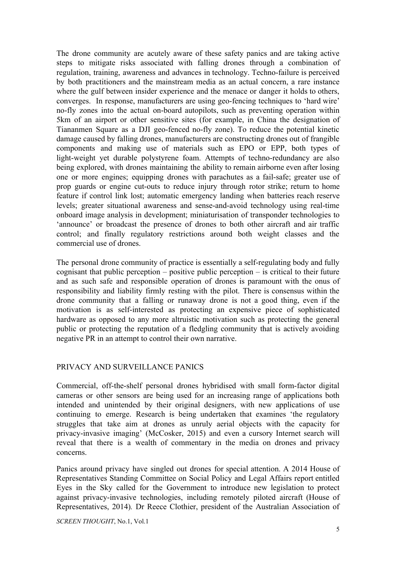The drone community are acutely aware of these safety panics and are taking active steps to mitigate risks associated with falling drones through a combination of regulation, training, awareness and advances in technology. Techno-failure is perceived by both practitioners and the mainstream media as an actual concern, a rare instance where the gulf between insider experience and the menace or danger it holds to others, converges. In response, manufacturers are using geo-fencing techniques to 'hard wire' no-fly zones into the actual on-board autopilots, such as preventing operation within 5km of an airport or other sensitive sites (for example, in China the designation of Tiananmen Square as a DJI geo-fenced no-fly zone). To reduce the potential kinetic damage caused by falling drones, manufacturers are constructing drones out of frangible components and making use of materials such as EPO or EPP, both types of light-weight yet durable polystyrene foam. Attempts of techno-redundancy are also being explored, with drones maintaining the ability to remain airborne even after losing one or more engines; equipping drones with parachutes as a fail-safe; greater use of prop guards or engine cut-outs to reduce injury through rotor strike; return to home feature if control link lost; automatic emergency landing when batteries reach reserve levels; greater situational awareness and sense-and-avoid technology using real-time onboard image analysis in development; miniaturisation of transponder technologies to 'announce' or broadcast the presence of drones to both other aircraft and air traffic control; and finally regulatory restrictions around both weight classes and the commercial use of drones.

The personal drone community of practice is essentially a self-regulating body and fully cognisant that public perception – positive public perception – is critical to their future and as such safe and responsible operation of drones is paramount with the onus of responsibility and liability firmly resting with the pilot. There is consensus within the drone community that a falling or runaway drone is not a good thing, even if the motivation is as self-interested as protecting an expensive piece of sophisticated hardware as opposed to any more altruistic motivation such as protecting the general public or protecting the reputation of a fledgling community that is actively avoiding negative PR in an attempt to control their own narrative.

#### PRIVACY AND SURVEILLANCE PANICS

Commercial, off-the-shelf personal drones hybridised with small form-factor digital cameras or other sensors are being used for an increasing range of applications both intended and unintended by their original designers, with new applications of use continuing to emerge. Research is being undertaken that examines 'the regulatory struggles that take aim at drones as unruly aerial objects with the capacity for privacy-invasive imaging' (McCosker, 2015) and even a cursory Internet search will reveal that there is a wealth of commentary in the media on drones and privacy concerns.

Panics around privacy have singled out drones for special attention. A 2014 House of Representatives Standing Committee on Social Policy and Legal Affairs report entitled Eyes in the Sky called for the Government to introduce new legislation to protect against privacy-invasive technologies, including remotely piloted aircraft (House of Representatives, 2014)*.* Dr Reece Clothier, president of the Australian Association of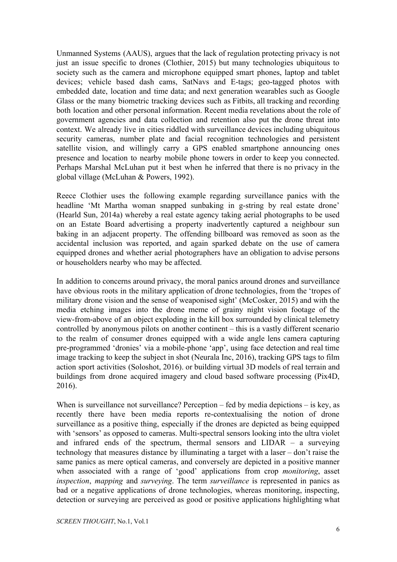Unmanned Systems (AAUS), argues that the lack of regulation protecting privacy is not just an issue specific to drones (Clothier, 2015) but many technologies ubiquitous to society such as the camera and microphone equipped smart phones, laptop and tablet devices; vehicle based dash cams, SatNavs and E-tags; geo-tagged photos with embedded date, location and time data; and next generation wearables such as Google Glass or the many biometric tracking devices such as Fitbits, all tracking and recording both location and other personal information. Recent media revelations about the role of government agencies and data collection and retention also put the drone threat into context. We already live in cities riddled with surveillance devices including ubiquitous security cameras, number plate and facial recognition technologies and persistent satellite vision, and willingly carry a GPS enabled smartphone announcing ones presence and location to nearby mobile phone towers in order to keep you connected. Perhaps Marshal McLuhan put it best when he inferred that there is no privacy in the global village (McLuhan & Powers, 1992).

Reece Clothier uses the following example regarding surveillance panics with the headline 'Mt Martha woman snapped sunbaking in g-string by real estate drone' (Hearld Sun, 2014a) whereby a real estate agency taking aerial photographs to be used on an Estate Board advertising a property inadvertently captured a neighbour sun baking in an adjacent property. The offending billboard was removed as soon as the accidental inclusion was reported, and again sparked debate on the use of camera equipped drones and whether aerial photographers have an obligation to advise persons or householders nearby who may be affected.

In addition to concerns around privacy, the moral panics around drones and surveillance have obvious roots in the military application of drone technologies, from the 'tropes of military drone vision and the sense of weaponised sight' (McCosker, 2015) and with the media etching images into the drone meme of grainy night vision footage of the view-from-above of an object exploding in the kill box surrounded by clinical telemetry controlled by anonymous pilots on another continent – this is a vastly different scenario to the realm of consumer drones equipped with a wide angle lens camera capturing pre-programmed 'dronies' via a mobile-phone 'app', using face detection and real time image tracking to keep the subject in shot (Neurala Inc, 2016), tracking GPS tags to film action sport activities (Soloshot, 2016). or building virtual 3D models of real terrain and buildings from drone acquired imagery and cloud based software processing (Pix4D, 2016).

When is surveillance not surveillance? Perception – fed by media depictions – is key, as recently there have been media reports re-contextualising the notion of drone surveillance as a positive thing, especially if the drones are depicted as being equipped with 'sensors' as opposed to cameras. Multi-spectral sensors looking into the ultra violet and infrared ends of the spectrum, thermal sensors and LIDAR – a surveying technology that measures distance by illuminating a target with a laser – don't raise the same panics as mere optical cameras, and conversely are depicted in a positive manner when associated with a range of 'good' applications from crop *monitoring*, asset *inspection*, *mapping* and *surveying*. The term *surveillance* is represented in panics as bad or a negative applications of drone technologies, whereas monitoring, inspecting, detection or surveying are perceived as good or positive applications highlighting what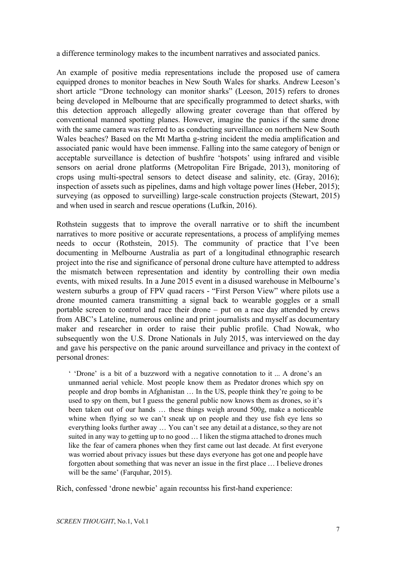a difference terminology makes to the incumbent narratives and associated panics.

An example of positive media representations include the proposed use of camera equipped drones to monitor beaches in New South Wales for sharks. Andrew Leeson's short article "Drone technology can monitor sharks" (Leeson, 2015) refers to drones being developed in Melbourne that are specifically programmed to detect sharks, with this detection approach allegedly allowing greater coverage than that offered by conventional manned spotting planes. However, imagine the panics if the same drone with the same camera was referred to as conducting surveillance on northern New South Wales beaches? Based on the Mt Martha g-string incident the media amplification and associated panic would have been immense. Falling into the same category of benign or acceptable surveillance is detection of bushfire 'hotspots' using infrared and visible sensors on aerial drone platforms (Metropolitan Fire Brigade, 2013), monitoring of crops using multi-spectral sensors to detect disease and salinity, etc. (Gray, 2016); inspection of assets such as pipelines, dams and high voltage power lines (Heber, 2015); surveying (as opposed to surveilling) large-scale construction projects (Stewart, 2015) and when used in search and rescue operations (Lufkin, 2016).

Rothstein suggests that to improve the overall narrative or to shift the incumbent narratives to more positive or accurate representations, a process of amplifying memes needs to occur (Rothstein, 2015). The community of practice that I've been documenting in Melbourne Australia as part of a longitudinal ethnographic research project into the rise and significance of personal drone culture have attempted to address the mismatch between representation and identity by controlling their own media events, with mixed results. In a June 2015 event in a disused warehouse in Melbourne's western suburbs a group of FPV quad racers - "First Person View" where pilots use a drone mounted camera transmitting a signal back to wearable goggles or a small portable screen to control and race their drone – put on a race day attended by crews from ABC's Lateline, numerous online and print journalists and myself as documentary maker and researcher in order to raise their public profile. Chad Nowak, who subsequently won the U.S. Drone Nationals in July 2015, was interviewed on the day and gave his perspective on the panic around surveillance and privacy in the context of personal drones:

' 'Drone' is a bit of a buzzword with a negative connotation to it ... A drone's an unmanned aerial vehicle. Most people know them as Predator drones which spy on people and drop bombs in Afghanistan … In the US, people think they're going to be used to spy on them, but I guess the general public now knows them as drones, so it's been taken out of our hands … these things weigh around 500g, make a noticeable whine when flying so we can't sneak up on people and they use fish eye lens so everything looks further away … You can't see any detail at a distance, so they are not suited in any way to getting up to no good … I liken the stigma attached to drones much like the fear of camera phones when they first came out last decade. At first everyone was worried about privacy issues but these days everyone has got one and people have forgotten about something that was never an issue in the first place … I believe drones will be the same' (Farquhar, 2015).

Rich, confessed 'drone newbie' again recountss his first-hand experience: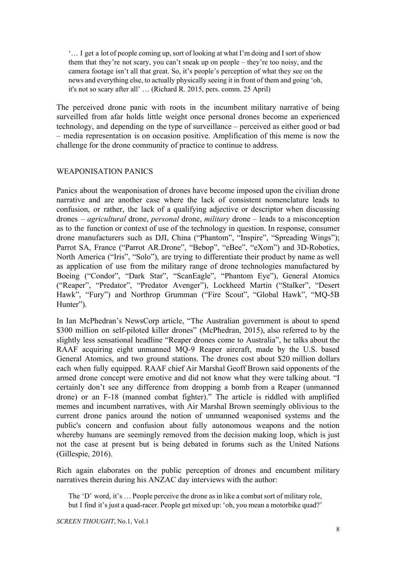'… I get a lot of people coming up, sort of looking at what I'm doing and I sort of show them that they're not scary, you can't sneak up on people – they're too noisy, and the camera footage isn't all that great. So, it's people's perception of what they see on the news and everything else, to actually physically seeing it in front of them and going 'oh, it's not so scary after all' … (Richard R. 2015, pers. comm. 25 April)

The perceived drone panic with roots in the incumbent military narrative of being surveilled from afar holds little weight once personal drones become an experienced technology, and depending on the type of surveillance – perceived as either good or bad – media representation is on occasion positive. Amplification of this meme is now the challenge for the drone community of practice to continue to address.

#### WEAPONISATION PANICS

Panics about the weaponisation of drones have become imposed upon the civilian drone narrative and are another case where the lack of consistent nomenclature leads to confusion, or rather, the lack of a qualifying adjective or descriptor when discussing drones – *agricultural* drone, *personal* drone, *military* drone – leads to a misconception as to the function or context of use of the technology in question. In response, consumer drone manufacturers such as DJI, China ("Phantom", "Inspire", "Spreading Wings"); Parrot SA, France ("Parrot AR.Drone", "Bebop", "eBee", "eXom") and 3D-Robotics, North America ("Iris", "Solo"), are trying to differentiate their product by name as well as application of use from the military range of drone technologies manufactured by Boeing ("Condor", "Dark Star", "ScanEagle", "Phantom Eye"), General Atomics ("Reaper", "Predator", "Predator Avenger"), Lockheed Martin ("Stalker", "Desert Hawk", "Fury") and Northrop Grumman ("Fire Scout", "Global Hawk", "MQ-5B Hunter").

In Ian McPhedran's NewsCorp article, "The Australian government is about to spend \$300 million on self-piloted killer drones" (McPhedran, 2015), also referred to by the slightly less sensational headline "Reaper drones come to Australia", he talks about the RAAF acquiring eight unmanned MQ-9 Reaper aircraft, made by the U.S. based General Atomics, and two ground stations. The drones cost about \$20 million dollars each when fully equipped. RAAF chief Air Marshal Geoff Brown said opponents of the armed drone concept were emotive and did not know what they were talking about. "I certainly don't see any difference from dropping a bomb from a Reaper (unmanned drone) or an F18 (manned combat fighter)." The article is riddled with amplified memes and incumbent narratives, with Air Marshal Brown seemingly oblivious to the current drone panics around the notion of unmanned weaponised systems and the public's concern and confusion about fully autonomous weapons and the notion whereby humans are seemingly removed from the decision making loop, which is just not the case at present but is being debated in forums such as the United Nations (Gillespie, 2016).

Rich again elaborates on the public perception of drones and encumbent military narratives therein during his ANZAC day interviews with the author:

The 'D' word, it's … People perceive the drone as in like a combat sort of military role, but I find it's just a quad-racer. People get mixed up: 'oh, you mean a motorbike quad?'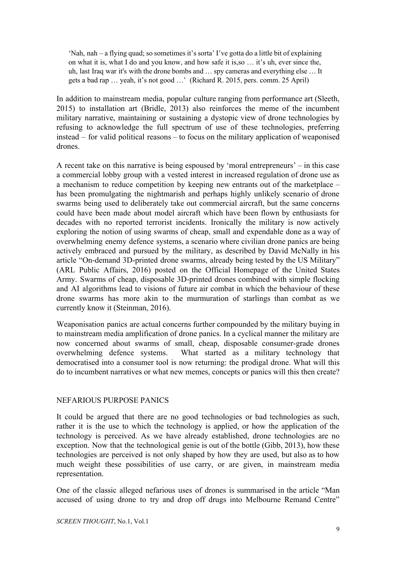'Nah, nah – a flying quad; so sometimes it's sorta' I've gotta do a little bit of explaining on what it is, what I do and you know, and how safe it is,so … it's uh, ever since the, uh, last Iraq war it's with the drone bombs and … spy cameras and everything else … It gets a bad rap … yeah, it's not good …' (Richard R. 2015, pers. comm. 25 April)

In addition to mainstream media, popular culture ranging from performance art (Sleeth, 2015) to installation art (Bridle, 2013) also reinforces the meme of the incumbent military narrative, maintaining or sustaining a dystopic view of drone technologies by refusing to acknowledge the full spectrum of use of these technologies, preferring instead – for valid political reasons – to focus on the military application of weaponised drones.

A recent take on this narrative is being espoused by 'moral entrepreneurs' – in this case a commercial lobby group with a vested interest in increased regulation of drone use as a mechanism to reduce competition by keeping new entrants out of the marketplace – has been promulgating the nightmarish and perhaps highly unlikely scenario of drone swarms being used to deliberately take out commercial aircraft, but the same concerns could have been made about model aircraft which have been flown by enthusiasts for decades with no reported terrorist incidents. Ironically the military is now actively exploring the notion of using swarms of cheap, small and expendable done as a way of overwhelming enemy defence systems, a scenario where civilian drone panics are being actively embraced and pursued by the military, as described by David McNally in his article "On-demand 3D-printed drone swarms, already being tested by the US Military" (ARL Public Affairs, 2016) posted on the Official Homepage of the United States Army. Swarms of cheap, disposable 3D-printed drones combined with simple flocking and AI algorithms lead to visions of future air combat in which the behaviour of these drone swarms has more akin to the murmuration of starlings than combat as we currently know it (Steinman, 2016).

Weaponisation panics are actual concerns further compounded by the military buying in to mainstream media amplification of drone panics. In a cyclical manner the military are now concerned about swarms of small, cheap, disposable consumer-grade drones overwhelming defence systems. What started as a military technology that democratised into a consumer tool is now returning: the prodigal drone. What will this do to incumbent narratives or what new memes, concepts or panics will this then create?

#### NEFARIOUS PURPOSE PANICS

It could be argued that there are no good technologies or bad technologies as such, rather it is the use to which the technology is applied, or how the application of the technology is perceived. As we have already established, drone technologies are no exception. Now that the technological genie is out of the bottle (Gibb, 2013), how these technologies are perceived is not only shaped by how they are used, but also as to how much weight these possibilities of use carry, or are given, in mainstream media representation.

One of the classic alleged nefarious uses of drones is summarised in the article "Man accused of using drone to try and drop off drugs into Melbourne Remand Centre"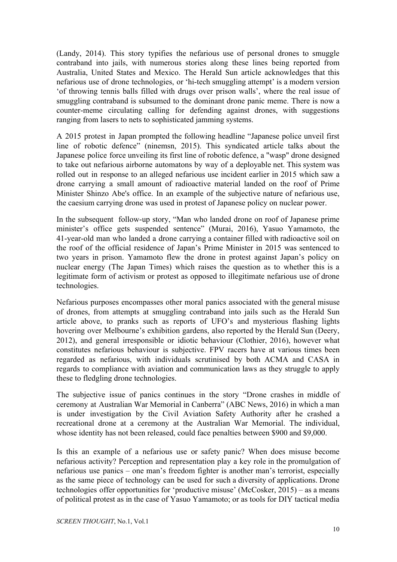(Landy, 2014). This story typifies the nefarious use of personal drones to smuggle contraband into jails, with numerous stories along these lines being reported from Australia, United States and Mexico. The Herald Sun article acknowledges that this nefarious use of drone technologies, or 'hi-tech smuggling attempt' is a modern version 'of throwing tennis balls filled with drugs over prison walls', where the real issue of smuggling contraband is subsumed to the dominant drone panic meme. There is now a counter-meme circulating calling for defending against drones, with suggestions ranging from lasers to nets to sophisticated jamming systems.

A 2015 protest in Japan prompted the following headline "Japanese police unveil first line of robotic defence" (ninemsn, 2015). This syndicated article talks about the Japanese police force unveiling its first line of robotic defence, a "wasp" drone designed to take out nefarious airborne automatons by way of a deployable net. This system was rolled out in response to an alleged nefarious use incident earlier in 2015 which saw a drone carrying a small amount of radioactive material landed on the roof of Prime Minister Shinzo Abe's office. In an example of the subjective nature of nefarious use, the caesium carrying drone was used in protest of Japanese policy on nuclear power.

In the subsequent follow-up story, "Man who landed drone on roof of Japanese prime minister's office gets suspended sentence" (Murai, 2016), Yasuo Yamamoto, the 41-year-old man who landed a drone carrying a container filled with radioactive soil on the roof of the official residence of Japan's Prime Minister in 2015 was sentenced to two years in prison. Yamamoto flew the drone in protest against Japan's policy on nuclear energy (The Japan Times) which raises the question as to whether this is a legitimate form of activism or protest as opposed to illegitimate nefarious use of drone technologies.

Nefarious purposes encompasses other moral panics associated with the general misuse of drones, from attempts at smuggling contraband into jails such as the Herald Sun article above, to pranks such as reports of UFO's and mysterious flashing lights hovering over Melbourne's exhibition gardens, also reported by the Herald Sun (Deery, 2012), and general irresponsible or idiotic behaviour (Clothier, 2016), however what constitutes nefarious behaviour is subjective. FPV racers have at various times been regarded as nefarious, with individuals scrutinised by both ACMA and CASA in regards to compliance with aviation and communication laws as they struggle to apply these to fledgling drone technologies.

The subjective issue of panics continues in the story "Drone crashes in middle of ceremony at Australian War Memorial in Canberra" (ABC News, 2016) in which a man is under investigation by the Civil Aviation Safety Authority after he crashed a recreational drone at a ceremony at the Australian War Memorial. The individual, whose identity has not been released, could face penalties between \$900 and \$9,000.

Is this an example of a nefarious use or safety panic? When does misuse become nefarious activity? Perception and representation play a key role in the promulgation of nefarious use panics – one man's freedom fighter is another man's terrorist, especially as the same piece of technology can be used for such a diversity of applications. Drone technologies offer opportunities for 'productive misuse' (McCosker, 2015) – as a means of political protest as in the case of Yasuo Yamamoto; or as tools for DIY tactical media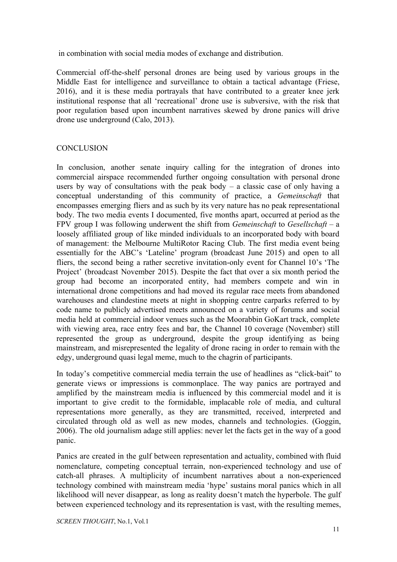in combination with social media modes of exchange and distribution.

Commercial off-the-shelf personal drones are being used by various groups in the Middle East for intelligence and surveillance to obtain a tactical advantage (Friese, 2016), and it is these media portrayals that have contributed to a greater knee jerk institutional response that all 'recreational' drone use is subversive, with the risk that poor regulation based upon incumbent narratives skewed by drone panics will drive drone use underground (Calo, 2013).

## **CONCLUSION**

In conclusion, another senate inquiry calling for the integration of drones into commercial airspace recommended further ongoing consultation with personal drone users by way of consultations with the peak body  $-$  a classic case of only having a conceptual understanding of this community of practice, a *Gemeinschaft* that encompasses emerging fliers and as such by its very nature has no peak representational body. The two media events I documented, five months apart, occurred at period as the FPV group I was following underwent the shift from *Gemeinschaft* to *Gesellschaft* – a loosely affiliated group of like minded individuals to an incorporated body with board of management: the Melbourne MultiRotor Racing Club. The first media event being essentially for the ABC's 'Lateline' program (broadcast June 2015) and open to all fliers, the second being a rather secretive invitation-only event for Channel 10's 'The Project' (broadcast November 2015). Despite the fact that over a six month period the group had become an incorporated entity, had members compete and win in international drone competitions and had moved its regular race meets from abandoned warehouses and clandestine meets at night in shopping centre carparks referred to by code name to publicly advertised meets announced on a variety of forums and social media held at commercial indoor venues such as the Moorabbin GoKart track, complete with viewing area, race entry fees and bar, the Channel 10 coverage (November) still represented the group as underground, despite the group identifying as being mainstream, and misrepresented the legality of drone racing in order to remain with the edgy, underground quasi legal meme, much to the chagrin of participants.

In today's competitive commercial media terrain the use of headlines as "click-bait" to generate views or impressions is commonplace. The way panics are portrayed and amplified by the mainstream media is influenced by this commercial model and it is important to give credit to the formidable, implacable role of media, and cultural representations more generally, as they are transmitted, received, interpreted and circulated through old as well as new modes, channels and technologies. (Goggin, 2006). The old journalism adage still applies: never let the facts get in the way of a good panic.

Panics are created in the gulf between representation and actuality, combined with fluid nomenclature, competing conceptual terrain, non-experienced technology and use of catch-all phrases. A multiplicity of incumbent narratives about a non-experienced technology combined with mainstream media 'hype' sustains moral panics which in all likelihood will never disappear, as long as reality doesn't match the hyperbole. The gulf between experienced technology and its representation is vast, with the resulting memes,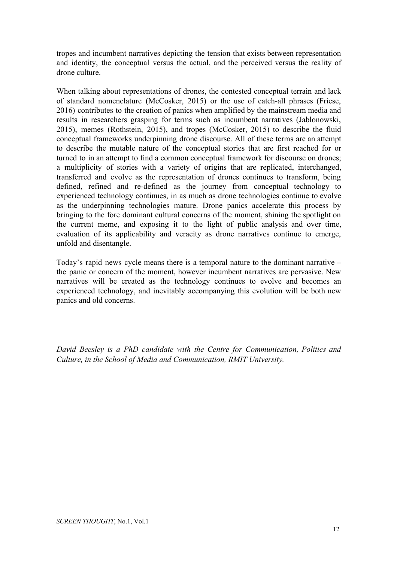tropes and incumbent narratives depicting the tension that exists between representation and identity, the conceptual versus the actual, and the perceived versus the reality of drone culture.

When talking about representations of drones, the contested conceptual terrain and lack of standard nomenclature (McCosker, 2015) or the use of catch-all phrases (Friese, 2016) contributes to the creation of panics when amplified by the mainstream media and results in researchers grasping for terms such as incumbent narratives (Jablonowski, 2015), memes (Rothstein, 2015), and tropes (McCosker, 2015) to describe the fluid conceptual frameworks underpinning drone discourse. All of these terms are an attempt to describe the mutable nature of the conceptual stories that are first reached for or turned to in an attempt to find a common conceptual framework for discourse on drones; a multiplicity of stories with a variety of origins that are replicated, interchanged, transferred and evolve as the representation of drones continues to transform, being defined, refined and re-defined as the journey from conceptual technology to experienced technology continues, in as much as drone technologies continue to evolve as the underpinning technologies mature. Drone panics accelerate this process by bringing to the fore dominant cultural concerns of the moment, shining the spotlight on the current meme, and exposing it to the light of public analysis and over time, evaluation of its applicability and veracity as drone narratives continue to emerge, unfold and disentangle.

Today's rapid news cycle means there is a temporal nature to the dominant narrative – the panic or concern of the moment, however incumbent narratives are pervasive. New narratives will be created as the technology continues to evolve and becomes an experienced technology, and inevitably accompanying this evolution will be both new panics and old concerns.

*David Beesley is a PhD candidate with the Centre for Communication, Politics and Culture, in the School of Media and Communication, RMIT University.*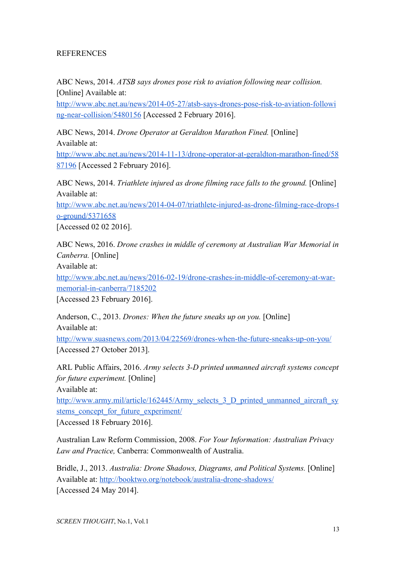## REFERENCES

ABC News, 2014. *ATSB says drones pose risk to aviation following near collision.* [Online] Available at:

http://www.abc.net.au/news/2014-05-27/atsb-says-drones-pose-risk-to-aviation-followi ng-near-collision/5480156 [Accessed 2 February 2016].

ABC News, 2014. *Drone Operator at Geraldton Marathon Fined.* [Online] Available at:

http://www.abc.net.au/news/2014-11-13/drone-operator-at-geraldton-marathon-fined/58 [87196](http://www.abc.net.au/news/2014-11-13/drone-operator-at-geraldton-marathon-fined/5887196) [Accessed 2 February 2016].

ABC News, 2014. *Triathlete injured as drone filming race falls to the ground.* [Online] Available at:

http://www.abc.net.au/news/2014-04-07/triathlete-injured-as-drone-filming-race-drops-t o-ground/5371658

[Accessed 02 02 2016].

ABC News, 2016. *Drone crashes in middle of ceremony at Australian War Memorial in Canberra.* [Online]

Available at:

http://www.abc.net.au/news/2016-02-19/drone-crashes-in-middle-of-ceremony-at-warmemorial-in-canberra/7185202

[Accessed 23 February 2016].

Anderson, C., 2013. *Drones: When the future sneaks up on you.* [Online] Available at:

http://www.suasnews.com/2013/04/22569/drones-when-the-future-sneaks-up-on-you/ [Accessed 27 October 2013].

ARL Public Affairs, 2016. Army selects 3-D printed unmanned aircraft systems concept *for future experiment.* [Online]

Available at:

[http://www.army.mil/article/162445/Army\\_selects\\_3\\_D\\_printed\\_unmanned\\_aircraft\\_sy](http://www.army.mil/article/162445/Army_selects_3_D_printed_unmanned_aircraft_systems_concept_for_future_experiment/)\_ stems concept for future experiment/

[Accessed 18 February 2016].

Australian Law Reform Commission, 2008. *For Your Information: Australian Privacy Law and Practice,* Canberra: Commonwealth of Australia.

Bridle, J., 2013. *Australia: Drone Shadows, Diagrams, and Political Systems*. [Online] Available at: http://booktwo.org/notebook/australia-drone-shadows/ [Accessed 24 May 2014].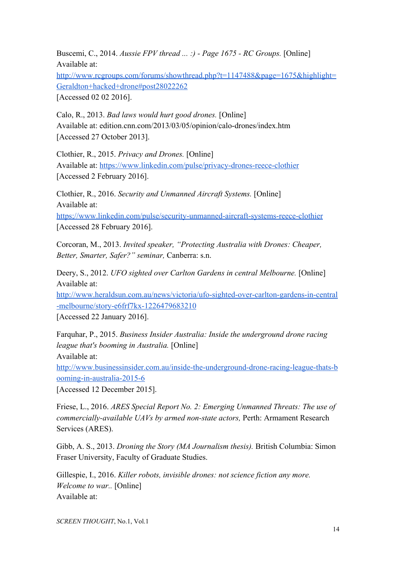Buscemi, C., 2014. *Aussie FPV thread ... :) Page 1675 RC Groups.* [Online] Available at:

[http://www.rcgroups.com/forums/showthread.php?t=1147488&page=1675&highlight=](http://www.rcgroups.com/forums/showthread.php?t=1147488&page=1675&highlight=Geraldton+hacked+drone#post28022262) [Geraldton+hacked+drone#post28022262](http://www.rcgroups.com/forums/showthread.php?t=1147488&page=1675&highlight=Geraldton+hacked+drone#post28022262)

[Accessed 02 02 2016].

Calo, R., 2013. *Bad laws would hurt good drones.* [Online] Available at: edition.cnn.com/2013/03/05/opinion/calo-drones/index.htm [Accessed 27 October 2013].

Clothier, R., 2015. *Privacy and Drones.* [Online] Available at: https://www.linkedin.com/pulse/privacy-drones-reece-clothier [Accessed 2 February 2016].

Clothier, R., 2016. *Security and Unmanned Aircraft Systems.* [Online] Available at: https://www.linkedin.com/pulse/security-unmanned-aircraft-systems-reece-clothier [Accessed 28 February 2016].

Corcoran, M., 2013. *Invited speaker, "Protecting Australia with Drones: Cheaper, Better, Smarter, Safer?" seminar,* Canberra: s.n.

Deery, S., 2012. *UFO sighted over Carlton Gardens in central Melbourne*. [Online] Available at:

http://www.heraldsun.com.au/news/victoria/ufo-sighted-over-carlton-gardens-in-central -melbourne/story-e6frf7kx-1226479683210

[Accessed 22 January 2016].

Farquhar, P., 2015. *Business Insider Australia: Inside the underground drone racing league that's booming in Australia.* [Online] Available at:

http://www.businessinsider.com.au/inside-the-underground-drone-racing-league-thats-b ooming-in-australia-2015-6

[Accessed 12 December 2015].

Friese, L., 2016. *ARES Special Report No. 2: Emerging Unmanned Threats: The use of commercially-available UAVs by armed non-state actors, Perth: Armament Research* Services (ARES).

Gibb, A. S., 2013. *Droning the Story (MA Journalism thesis).* British Columbia: Simon Fraser University, Faculty of Graduate Studies.

Gillespie, I., 2016. *Killer robots, invisible drones: not science fiction any more. Welcome to war..* [Online] Available at: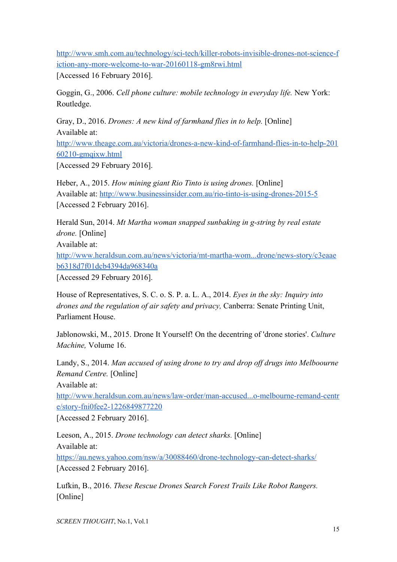http://www.smh.com.au/technology/sci-tech/killer-robots-invisible-drones-not-science-f iction-any-more-welcome-to-war-20160118-gm8rwi.html

[Accessed 16 February 2016].

Goggin, G., 2006. *Cell phone culture: mobile technology in everyday life.* New York: Routledge.

Gray, D., 2016. *Drones: A new kind of farmhand flies in to help.* [Online] Available at:

http://www.theage.com.au/victoria/drones-a-new-kind-of-farmhand-flies-in-to-help-201  $60210$ -gmqixw.html

[Accessed 29 February 2016].

Heber, A., 2015. *How mining giant Rio Tinto is using drones.* [Online] Available at: http://www.businessinsider.com.au/rio-tinto-is-using-drones-2015-5 [Accessed 2 February 2016].

Herald Sun, 2014. *Mt Martha woman snapped sunbaking in g-string by real estate drone.* [Online] Available at: http://www.heraldsun.com.au/news/victoria/mt-martha-wom...drone/news-story/c3eaae [b6318d7f01dcb4394da968340a](http://www.heraldsun.com.au/news/victoria/mt-martha-wom...drone/news-story/c3eaaeb6318d7f01dcb4394da968340a)

[Accessed 29 February 2016].

House of Representatives, S. C. o. S. P. a. L. A., 2014. *Eyes in the sky: Inquiry into drones and the regulation of air safety and privacy,* Canberra: Senate Printing Unit, Parliament House.

Jablonowski, M., 2015. Drone It Yourself! On the decentring of 'drone stories'. *Culture Machine,* Volume 16.

Landy, S., 2014. *Man accused of using drone to try and drop off drugs into Melboourne Remand Centre.* [Online]

Available at:

http://www.heraldsun.com.au/news/law-order/man-accused...o-melbourne-remand-centr e/story-fni0fee2-1226849877220

[Accessed 2 February 2016].

Leeson, A., 2015. *Drone technology can detect sharks.* [Online] Available at: https://au.news.yahoo.com/nsw/a/30088460/drone-technology-can-detect-sharks/

[Accessed 2 February 2016].

Lufkin, B., 2016. *These Rescue Drones Search Forest Trails Like Robot Rangers.* [Online]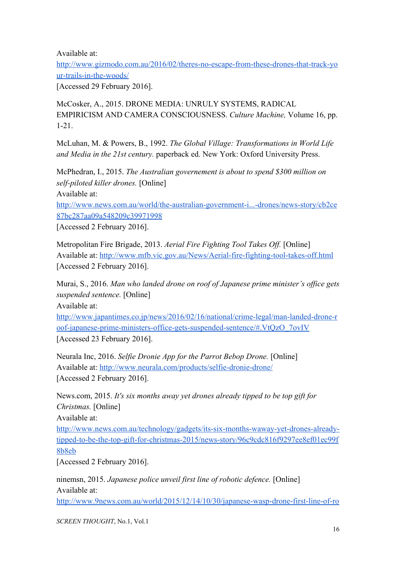Available at:

http://www.gizmodo.com.au/2016/02/theres-no-escape-from-these-drones-that-track-yo ur-trails-in-the-woods/

[Accessed 29 February 2016].

McCosker, A., 2015. DRONE MEDIA: UNRULY SYSTEMS, RADICAL EMPIRICISM AND CAMERA CONSCIOUSNESS. *Culture Machine,* Volume 16, pp.  $1-21.$ 

McLuhan, M. & Powers, B., 1992. *The Global Village: Transformations in World Life and Media in the 21st century.* paperback ed. New York: Oxford University Press.

McPhedran, I., 2015. *The Australian governement is about to spend \$300 million on self-piloted killer drones.* [Online]

Available at:

http://www.news.com.au/world/the-australian-government-i...-drones/news-story/cb2ce [87bc287aa09a548209c39971998](http://www.news.com.au/world/the-australian-government-i...-drones/news-story/cb2ce87bc287aa09a548209c39971998)

[Accessed 2 February 2016].

Metropolitan Fire Brigade, 2013. *Aerial Fire Fighting Tool Takes Off.* [Online] Available at: http://www.mfb.vic.gov.au/News/Aerial-fire-fighting-tool-takes-off.html [Accessed 2 February 2016].

Murai, S., 2016. *Man who landed drone on roof of Japanese prime minister's office gets suspended sentence.* [Online]

Available at:

http://www.japantimes.co.jp/news/2016/02/16/national/crime-legal/man-landed-drone-r oof-japanese-prime-ministers-office-gets-suspended-sentence/#.VtQzO\_7ovIV [Accessed 23 February 2016].

Neurala Inc, 2016. *Selfie Dronie App for the Parrot Bebop Drone.* [Online] Available at: http://www.neurala.com/products/selfie-dronie-drone/ [Accessed 2 February 2016].

News.com, 2015. *It's six months away yet drones already tipped to be top gift for Christmas.* [Online]

Available at:

http://www.news.com.au/technology/gadgets/its-six-months-waway-yet-drones-alreadytipped-to-be-the-top-gift-for-christmas-2015/news-story/96c9cdc816f9297ee8ef01ec99f [8b8eb](http://www.news.com.au/technology/gadgets/its-six-months-waway-yet-drones-already-tipped-to-be-the-top-gift-for-christmas-2015/news-story/96c9cdc816f9297ee8ef01ec99f8b8eb)

[Accessed 2 February 2016].

ninemsn, 2015. *Japanese police unveil first line of robotic defence.* [Online] Available at:

http://www.9news.com.au/world/2015/12/14/10/30/japanese-wasp-drone-first-line-of-ro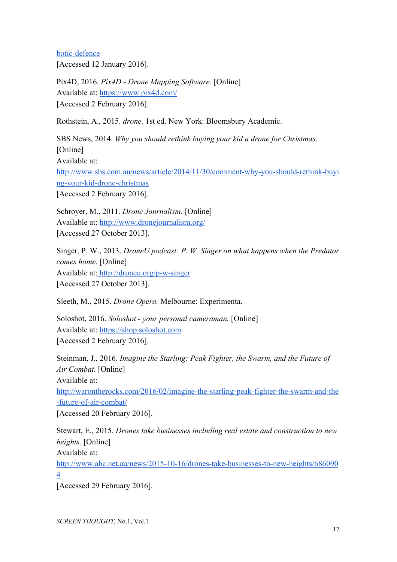botic-defence [Accessed 12 January 2016].

Pix4D, 2016. *Pix4D Drone Mapping Software.* [Online] Available at: <https://www.pix4d.com/> [Accessed 2 February 2016].

Rothstein, A., 2015. *drone.* 1st ed. New York: Bloomsbury Academic.

SBS News, 2014. *Why you should rethink buying your kid a drone for Christmas.* [Online] Available at: http://www.sbs.com.au/news/article/2014/11/30/comment-why-you-should-rethink-buyi ng-your-kid-drone-christmas [Accessed 2 February 2016].

Schroyer, M., 2011. *Drone Journalism.* [Online] Available at: <http://www.dronejournalism.org/> [Accessed 27 October 2013].

Singer, P. W., 2013. *DroneU podcast: P. W. Singer on what happens when the Predator comes home.* [Online] Available at: http://droneu.org/p-w-singer [Accessed 27 October 2013].

Sleeth, M., 2015. *Drone Opera.* Melbourne: Experimenta.

Soloshot, 2016. *Soloshot your personal cameraman.* [Online] Available at: [https://shop.soloshot.com](https://shop.soloshot.com/) [Accessed 2 February 2016].

Steinman, J., 2016. *Imagine the Starling: Peak Fighter, the Swarm, and the Future of Air Combat.* [Online] Available at: http://warontherocks.com/2016/02/imagine-the-starling-peak-fighter-the-swarm-and-the -future-of-air-combat/

[Accessed 20 February 2016].

Stewart, E., 2015. *Drones take businesses including real estate and construction to new heights.* [Online] Available at:

http://www.abc.net.au/news/2015-10-16/drones-take-businesses-to-new-heights/686090 [4](http://www.abc.net.au/news/2015-10-16/drones-take-businesses-to-new-heights/6860904)

[Accessed 29 February 2016].